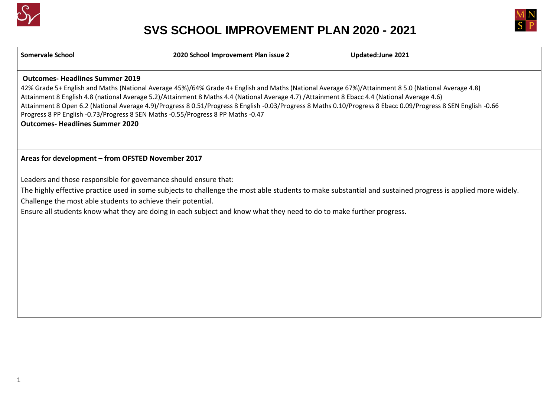



**Somervale School 2020 School Improvement Plan issue 2 Updated:June 2021**

#### **Outcomes- Headlines Summer 2019**

42% Grade 5+ English and Maths (National Average 45%)/64% Grade 4+ English and Maths (National Average 67%)/Attainment 8 5.0 (National Average 4.8) Attainment 8 English 4.8 (national Average 5.2)/Attainment 8 Maths 4.4 (National Average 4.7) /Attainment 8 Ebacc 4.4 (National Average 4.6) Attainment 8 Open 6.2 (National Average 4.9)/Progress 8 0.51/Progress 8 English -0.03/Progress 8 Maths 0.10/Progress 8 Ebacc 0.09/Progress 8 SEN English -0.66 Progress 8 PP English -0.73/Progress 8 SEN Maths -0.55/Progress 8 PP Maths -0.47 **Outcomes- Headlines Summer 2020**

#### **Areas for development – from OFSTED November 2017**

Leaders and those responsible for governance should ensure that:

The highly effective practice used in some subjects to challenge the most able students to make substantial and sustained progress is applied more widely. Challenge the most able students to achieve their potential.

Ensure all students know what they are doing in each subject and know what they need to do to make further progress.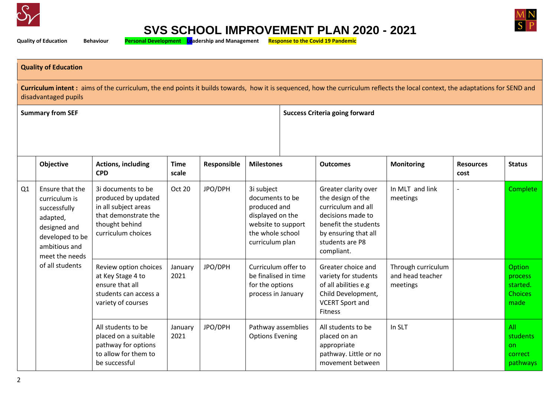



**Quality of Education Behaviour Personal Development Leadership and Management Response to the Covid 19 Pandemic**

#### **Quality of Education**

**Curriculum intent :** aims of the curriculum, the end points it builds towards, how it is sequenced, how the curriculum reflects the local context, the adaptations for SEND and disadvantaged pupils

|    | <b>Summary from SEF</b>                                                                                                            |                                                                                                                                   |                      |             |                                                                                                                                | <b>Success Criteria going forward</b>                                                                                                                                 |                                                    |                          |                                                         |  |  |
|----|------------------------------------------------------------------------------------------------------------------------------------|-----------------------------------------------------------------------------------------------------------------------------------|----------------------|-------------|--------------------------------------------------------------------------------------------------------------------------------|-----------------------------------------------------------------------------------------------------------------------------------------------------------------------|----------------------------------------------------|--------------------------|---------------------------------------------------------|--|--|
|    | <b>Objective</b>                                                                                                                   | <b>Actions, including</b><br><b>CPD</b>                                                                                           | <b>Time</b><br>scale | Responsible | <b>Milestones</b>                                                                                                              | <b>Outcomes</b>                                                                                                                                                       | <b>Monitoring</b>                                  | <b>Resources</b><br>cost | <b>Status</b>                                           |  |  |
| Q1 | Ensure that the<br>curriculum is<br>successfully<br>adapted,<br>designed and<br>developed to be<br>ambitious and<br>meet the needs | 3i documents to be<br>produced by updated<br>in all subject areas<br>that demonstrate the<br>thought behind<br>curriculum choices | Oct 20               | JPO/DPH     | 3i subject<br>documents to be<br>produced and<br>displayed on the<br>website to support<br>the whole school<br>curriculum plan | Greater clarity over<br>the design of the<br>curriculum and all<br>decisions made to<br>benefit the students<br>by ensuring that all<br>students are P8<br>compliant. | In MLT and link<br>meetings                        |                          | Complete                                                |  |  |
|    | of all students                                                                                                                    | Review option choices<br>at Key Stage 4 to<br>ensure that all<br>students can access a<br>variety of courses                      | January<br>2021      | JPO/DPH     | Curriculum offer to<br>be finalised in time<br>for the options<br>process in January                                           | Greater choice and<br>variety for students<br>of all abilities e.g<br>Child Development,<br><b>VCERT Sport and</b><br><b>Fitness</b>                                  | Through curriculum<br>and head teacher<br>meetings |                          | Option<br>process<br>started.<br><b>Choices</b><br>made |  |  |
|    |                                                                                                                                    | All students to be<br>placed on a suitable<br>pathway for options<br>to allow for them to<br>be successful                        | January<br>2021      | JPO/DPH     | Pathway assemblies<br><b>Options Evening</b>                                                                                   | All students to be<br>placed on an<br>appropriate<br>pathway. Little or no<br>movement between                                                                        | In SLT                                             |                          | All<br>students<br><b>on</b><br>correct<br>pathways     |  |  |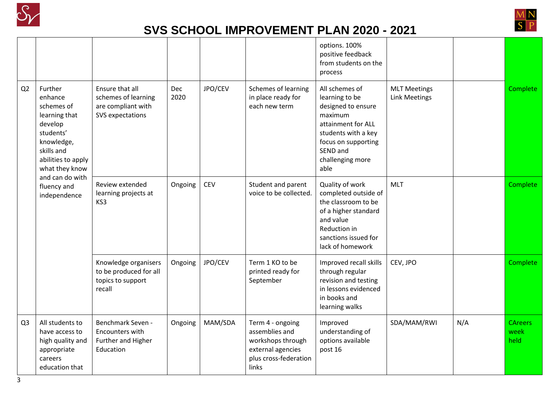



|                |                                                                                                                                               |                                                                                  |             |            |                                                                                                                | options. 100%<br>positive feedback<br>from students on the<br>process                                                                                                         |                                             |     |                                |
|----------------|-----------------------------------------------------------------------------------------------------------------------------------------------|----------------------------------------------------------------------------------|-------------|------------|----------------------------------------------------------------------------------------------------------------|-------------------------------------------------------------------------------------------------------------------------------------------------------------------------------|---------------------------------------------|-----|--------------------------------|
| Q2             | Further<br>enhance<br>schemes of<br>learning that<br>develop<br>students'<br>knowledge,<br>skills and<br>abilities to apply<br>what they know | Ensure that all<br>schemes of learning<br>are compliant with<br>SVS expectations | Dec<br>2020 | JPO/CEV    | Schemes of learning<br>in place ready for<br>each new term                                                     | All schemes of<br>learning to be<br>designed to ensure<br>maximum<br>attainment for ALL<br>students with a key<br>focus on supporting<br>SEND and<br>challenging more<br>able | <b>MLT Meetings</b><br><b>Link Meetings</b> |     | <b>Complete</b>                |
|                | and can do with<br>fluency and<br>independence                                                                                                | Review extended<br>learning projects at<br>KS3                                   | Ongoing     | <b>CEV</b> | Student and parent<br>voice to be collected.                                                                   | Quality of work<br>completed outside of<br>the classroom to be<br>of a higher standard<br>and value<br>Reduction in<br>sanctions issued for<br>lack of homework               | <b>MLT</b>                                  |     | <b>Complete</b>                |
|                |                                                                                                                                               | Knowledge organisers<br>to be produced for all<br>topics to support<br>recall    | Ongoing     | JPO/CEV    | Term 1 KO to be<br>printed ready for<br>September                                                              | Improved recall skills<br>through regular<br>revision and testing<br>in lessons evidenced<br>in books and<br>learning walks                                                   | CEV, JPO                                    |     | <b>Complete</b>                |
| Q <sub>3</sub> | All students to<br>have access to<br>high quality and<br>appropriate<br>careers<br>education that                                             | Benchmark Seven -<br>Encounters with<br>Further and Higher<br>Education          | Ongoing     | MAM/SDA    | Term 4 - ongoing<br>assemblies and<br>workshops through<br>external agencies<br>plus cross-federation<br>links | Improved<br>understanding of<br>options available<br>post 16                                                                                                                  | SDA/MAM/RWI                                 | N/A | <b>CAreers</b><br>week<br>held |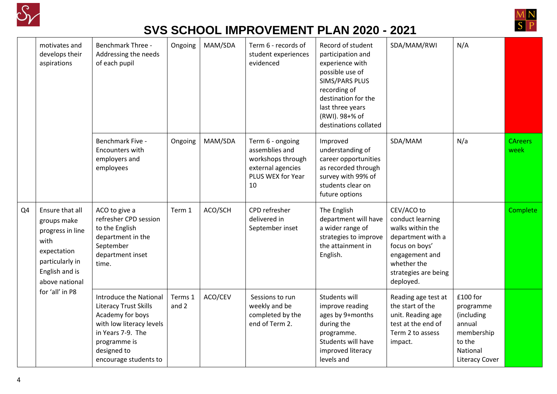



|    | motivates and<br>develops their<br>aspirations                                                                                   | <b>Benchmark Three -</b><br>Addressing the needs<br>of each pupil                                                                                                                          | Ongoing          | MAM/SDA | Term 6 - records of<br>student experiences<br>evidenced                                                 | Record of student<br>participation and<br>experience with<br>possible use of<br>SIMS/PARS PLUS<br>recording of<br>destination for the<br>last three years<br>(RWI). 98+% of<br>destinations collated | SDA/MAM/RWI                                                                                                                                                     | N/A                                                                                                        |                        |
|----|----------------------------------------------------------------------------------------------------------------------------------|--------------------------------------------------------------------------------------------------------------------------------------------------------------------------------------------|------------------|---------|---------------------------------------------------------------------------------------------------------|------------------------------------------------------------------------------------------------------------------------------------------------------------------------------------------------------|-----------------------------------------------------------------------------------------------------------------------------------------------------------------|------------------------------------------------------------------------------------------------------------|------------------------|
|    |                                                                                                                                  | Benchmark Five -<br>Encounters with<br>employers and<br>employees                                                                                                                          | Ongoing          | MAM/SDA | Term 6 - ongoing<br>assemblies and<br>workshops through<br>external agencies<br>PLUS WEX for Year<br>10 | Improved<br>understanding of<br>career opportunities<br>as recorded through<br>survey with 99% of<br>students clear on<br>future options                                                             | SDA/MAM                                                                                                                                                         | N/a                                                                                                        | <b>CAreers</b><br>week |
| Q4 | Ensure that all<br>groups make<br>progress in line<br>with<br>expectation<br>particularly in<br>English and is<br>above national | ACO to give a<br>refresher CPD session<br>to the English<br>department in the<br>September<br>department inset<br>time.                                                                    | Term 1           | ACO/SCH | CPD refresher<br>delivered in<br>September inset                                                        | The English<br>department will have<br>a wider range of<br>strategies to improve<br>the attainment in<br>English.                                                                                    | CEV/ACO to<br>conduct learning<br>walks within the<br>department with a<br>focus on boys'<br>engagement and<br>whether the<br>strategies are being<br>deployed. |                                                                                                            | Complete               |
|    | for 'all' in P8                                                                                                                  | <b>Introduce the National</b><br><b>Literacy Trust Skills</b><br>Academy for boys<br>with low literacy levels<br>in Years 7-9. The<br>programme is<br>designed to<br>encourage students to | Terms 1<br>and 2 | ACO/CEV | Sessions to run<br>weekly and be<br>completed by the<br>end of Term 2.                                  | Students will<br>improve reading<br>ages by 9+months<br>during the<br>programme.<br>Students will have<br>improved literacy<br>levels and                                                            | Reading age test at<br>the start of the<br>unit. Reading age<br>test at the end of<br>Term 2 to assess<br>impact.                                               | £100 for<br>programme<br>(including<br>annual<br>membership<br>to the<br>National<br><b>Literacy Cover</b> |                        |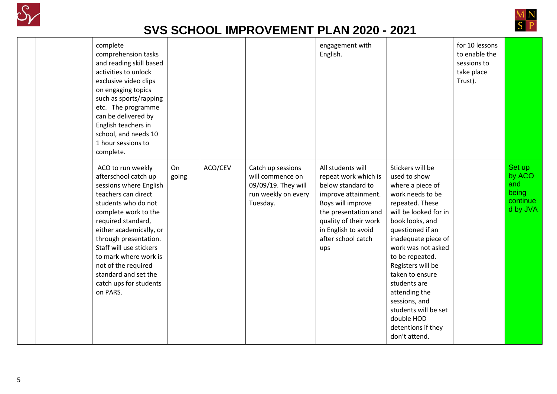



| complete<br>comprehension tasks<br>and reading skill based<br>activities to unlock<br>exclusive video clips<br>on engaging topics<br>such as sports/rapping<br>etc. The programme<br>can be delivered by<br>English teachers in<br>school, and needs 10<br>1 hour sessions to<br>complete.                                                                   |             |         |                                                                                                 | engagement with<br>English.                                                                                                                                                                                     |                                                                                                                                                                                                                                                                                                                                                                                                    | for 10 lessons<br>to enable the<br>sessions to<br>take place<br>Trust). |                                                          |
|--------------------------------------------------------------------------------------------------------------------------------------------------------------------------------------------------------------------------------------------------------------------------------------------------------------------------------------------------------------|-------------|---------|-------------------------------------------------------------------------------------------------|-----------------------------------------------------------------------------------------------------------------------------------------------------------------------------------------------------------------|----------------------------------------------------------------------------------------------------------------------------------------------------------------------------------------------------------------------------------------------------------------------------------------------------------------------------------------------------------------------------------------------------|-------------------------------------------------------------------------|----------------------------------------------------------|
| ACO to run weekly<br>afterschool catch up<br>sessions where English<br>teachers can direct<br>students who do not<br>complete work to the<br>required standard,<br>either academically, or<br>through presentation.<br>Staff will use stickers<br>to mark where work is<br>not of the required<br>standard and set the<br>catch ups for students<br>on PARS. | On<br>going | ACO/CEV | Catch up sessions<br>will commence on<br>09/09/19. They will<br>run weekly on every<br>Tuesday. | All students will<br>repeat work which is<br>below standard to<br>improve attainment.<br>Boys will improve<br>the presentation and<br>quality of their work<br>in English to avoid<br>after school catch<br>ups | Stickers will be<br>used to show<br>where a piece of<br>work needs to be<br>repeated. These<br>will be looked for in<br>book looks, and<br>questioned if an<br>inadequate piece of<br>work was not asked<br>to be repeated.<br>Registers will be<br>taken to ensure<br>students are<br>attending the<br>sessions, and<br>students will be set<br>double HOD<br>detentions if they<br>don't attend. |                                                                         | Set up<br>by ACO<br>and<br>being<br>continue<br>d by JVA |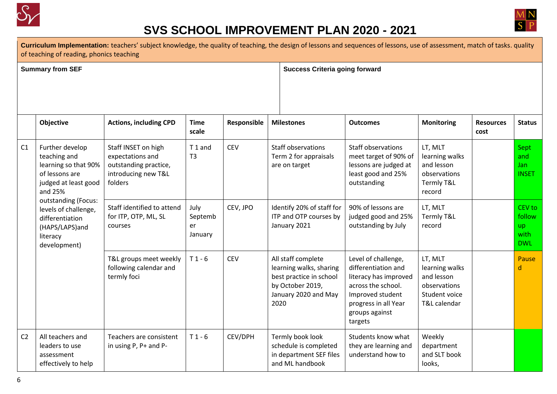



Curriculum Implementation: teachers' subject knowledge, the quality of teaching, the design of lessons and sequences of lessons, use of assessment, match of tasks. quality of teaching of reading, phonics teaching

**Summary from SEF Success Criteria going forward**

|                | <b>Objective</b>                                                                                                                                                                                                             | <b>Actions, including CPD</b>                                                                      | <b>Time</b><br>scale             | Responsible | <b>Milestones</b>                                                                                                            | <b>Outcomes</b>                                                                                                                                                    | <b>Monitoring</b>                                                                        | <b>Resources</b><br>cost | <b>Status</b>                                       |
|----------------|------------------------------------------------------------------------------------------------------------------------------------------------------------------------------------------------------------------------------|----------------------------------------------------------------------------------------------------|----------------------------------|-------------|------------------------------------------------------------------------------------------------------------------------------|--------------------------------------------------------------------------------------------------------------------------------------------------------------------|------------------------------------------------------------------------------------------|--------------------------|-----------------------------------------------------|
| C1             | Further develop<br>teaching and<br>learning so that 90%<br>of lessons are<br>judged at least good<br>and 25%<br>outstanding (Focus:<br>levels of challenge,<br>differentiation<br>(HAPS/LAPS)and<br>literacy<br>development) | Staff INSET on high<br>expectations and<br>outstanding practice,<br>introducing new T&L<br>folders | T1 and<br>T <sub>3</sub>         | <b>CEV</b>  | <b>Staff observations</b><br>Term 2 for appraisals<br>are on target                                                          | Staff observations<br>meet target of 90% of<br>lessons are judged at<br>least good and 25%<br>outstanding                                                          | LT, MLT<br>learning walks<br>and lesson<br>observations<br>Termly T&L<br>record          |                          | Sept<br>and<br>Jan<br><b>INSET</b>                  |
|                |                                                                                                                                                                                                                              | Staff identified to attend<br>for ITP, OTP, ML, SL<br>courses                                      | July<br>Septemb<br>er<br>January | CEV, JPO    | Identify 20% of staff for<br>ITP and OTP courses by<br>January 2021                                                          | 90% of lessons are<br>judged good and 25%<br>outstanding by July                                                                                                   | LT, MLT<br>Termly T&L<br>record                                                          |                          | CEV to<br>follow<br><b>up</b><br>with<br><b>DWL</b> |
|                |                                                                                                                                                                                                                              | T&L groups meet weekly<br>following calendar and<br>termly foci                                    | $T1 - 6$                         | <b>CEV</b>  | All staff complete<br>learning walks, sharing<br>best practice in school<br>by October 2019,<br>January 2020 and May<br>2020 | Level of challenge,<br>differentiation and<br>literacy has improved<br>across the school.<br>Improved student<br>progress in all Year<br>groups against<br>targets | LT, MLT<br>learning walks<br>and lesson<br>observations<br>Student voice<br>T&L calendar |                          | Pause<br>d                                          |
| C <sub>2</sub> | All teachers and<br>leaders to use<br>assessment<br>effectively to help                                                                                                                                                      | Teachers are consistent<br>in using P, P+ and P-                                                   | $T1 - 6$                         | CEV/DPH     | Termly book look<br>schedule is completed<br>in department SEF files<br>and ML handbook                                      | Students know what<br>they are learning and<br>understand how to                                                                                                   | Weekly<br>department<br>and SLT book<br>looks,                                           |                          |                                                     |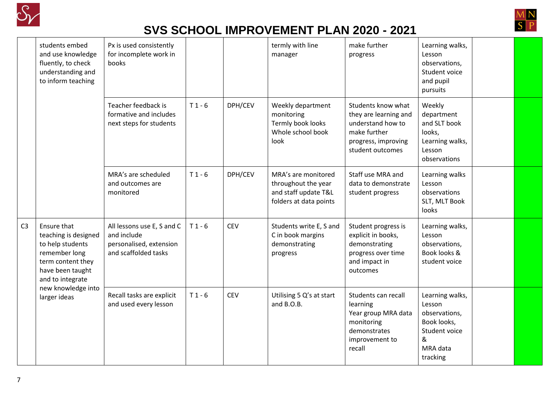



|                | students embed<br>and use knowledge<br>fluently, to check<br>understanding and<br>to inform teaching                                  | Px is used consistently<br>for incomplete work in<br>books                                   |          |            | termly with line<br>manager                                                                  | make further<br>progress                                                                                                    | Learning walks,<br>Lesson<br>observations,<br>Student voice<br>and pupil<br>pursuits                    |  |
|----------------|---------------------------------------------------------------------------------------------------------------------------------------|----------------------------------------------------------------------------------------------|----------|------------|----------------------------------------------------------------------------------------------|-----------------------------------------------------------------------------------------------------------------------------|---------------------------------------------------------------------------------------------------------|--|
|                |                                                                                                                                       | Teacher feedback is<br>formative and includes<br>next steps for students                     | $T1 - 6$ | DPH/CEV    | Weekly department<br>monitoring<br>Termly book looks<br>Whole school book<br>look            | Students know what<br>they are learning and<br>understand how to<br>make further<br>progress, improving<br>student outcomes | Weekly<br>department<br>and SLT book<br>looks,<br>Learning walks,<br>Lesson<br>observations             |  |
|                |                                                                                                                                       | MRA's are scheduled<br>and outcomes are<br>monitored                                         | $T1 - 6$ | DPH/CEV    | MRA's are monitored<br>throughout the year<br>and staff update T&L<br>folders at data points | Staff use MRA and<br>data to demonstrate<br>student progress                                                                | Learning walks<br>Lesson<br>observations<br>SLT, MLT Book<br>looks                                      |  |
| C <sub>3</sub> | Ensure that<br>teaching is designed<br>to help students<br>remember long<br>term content they<br>have been taught<br>and to integrate | All lessons use E, S and C<br>and include<br>personalised, extension<br>and scaffolded tasks | $T1 - 6$ | <b>CEV</b> | Students write E, S and<br>C in book margins<br>demonstrating<br>progress                    | Student progress is<br>explicit in books,<br>demonstrating<br>progress over time<br>and impact in<br>outcomes               | Learning walks,<br>Lesson<br>observations,<br>Book looks &<br>student voice                             |  |
|                | new knowledge into<br>larger ideas                                                                                                    | Recall tasks are explicit<br>and used every lesson                                           | $T1 - 6$ | <b>CEV</b> | Utilising 5 Q's at start<br>and B.O.B.                                                       | Students can recall<br>learning<br>Year group MRA data<br>monitoring<br>demonstrates<br>improvement to<br>recall            | Learning walks,<br>Lesson<br>observations,<br>Book looks,<br>Student voice<br>&<br>MRA data<br>tracking |  |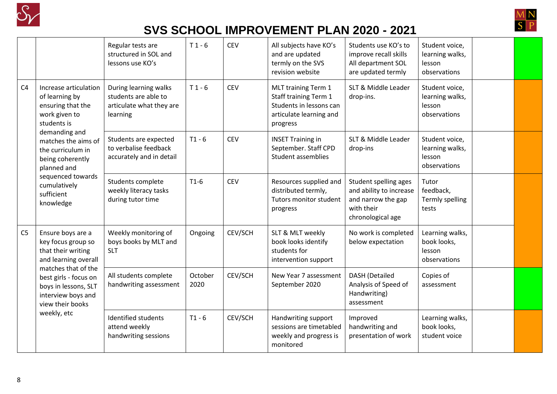



|                |                                                                                                              | Regular tests are<br>structured in SOL and<br>lessons use KO's                        | $T1 - 6$        | <b>CEV</b> | All subjects have KO's<br>and are updated<br>termly on the SVS<br>revision website                                    | Students use KO's to<br>improve recall skills<br>All department SOL<br>are updated termly                 | Student voice,<br>learning walks,<br>lesson<br>observations |  |
|----------------|--------------------------------------------------------------------------------------------------------------|---------------------------------------------------------------------------------------|-----------------|------------|-----------------------------------------------------------------------------------------------------------------------|-----------------------------------------------------------------------------------------------------------|-------------------------------------------------------------|--|
| C4             | Increase articulation<br>of learning by<br>ensuring that the<br>work given to<br>students is                 | During learning walks<br>students are able to<br>articulate what they are<br>learning | $T1 - 6$        | <b>CEV</b> | MLT training Term 1<br><b>Staff training Term 1</b><br>Students in lessons can<br>articulate learning and<br>progress | SLT & Middle Leader<br>drop-ins.                                                                          | Student voice,<br>learning walks,<br>lesson<br>observations |  |
|                | demanding and<br>matches the aims of<br>the curriculum in<br>being coherently<br>planned and                 | Students are expected<br>to verbalise feedback<br>accurately and in detail            | $T1 - 6$        | CEV        | <b>INSET Training in</b><br>September. Staff CPD<br><b>Student assemblies</b>                                         | SLT & Middle Leader<br>drop-ins                                                                           | Student voice,<br>learning walks,<br>lesson<br>observations |  |
|                | sequenced towards<br>cumulatively<br>sufficient<br>knowledge                                                 | Students complete<br>weekly literacy tasks<br>during tutor time                       | $T1-6$          | <b>CEV</b> | Resources supplied and<br>distributed termly,<br>Tutors monitor student<br>progress                                   | Student spelling ages<br>and ability to increase<br>and narrow the gap<br>with their<br>chronological age | Tutor<br>feedback,<br>Termly spelling<br>tests              |  |
| C <sub>5</sub> | Ensure boys are a<br>key focus group so<br>that their writing<br>and learning overall<br>matches that of the | Weekly monitoring of<br>boys books by MLT and<br><b>SLT</b>                           | Ongoing         | CEV/SCH    | SLT & MLT weekly<br>book looks identify<br>students for<br>intervention support                                       | No work is completed<br>below expectation                                                                 | Learning walks,<br>book looks,<br>lesson<br>observations    |  |
|                | best girls - focus on<br>boys in lessons, SLT<br>interview boys and<br>view their books                      | All students complete<br>handwriting assessment                                       | October<br>2020 | CEV/SCH    | New Year 7 assessment<br>September 2020                                                                               | <b>DASH</b> (Detailed<br>Analysis of Speed of<br>Handwriting)<br>assessment                               | Copies of<br>assessment                                     |  |
|                | weekly, etc                                                                                                  | Identified students<br>attend weekly<br>handwriting sessions                          | $T1 - 6$        | CEV/SCH    | Handwriting support<br>sessions are timetabled<br>weekly and progress is<br>monitored                                 | Improved<br>handwriting and<br>presentation of work                                                       | Learning walks,<br>book looks,<br>student voice             |  |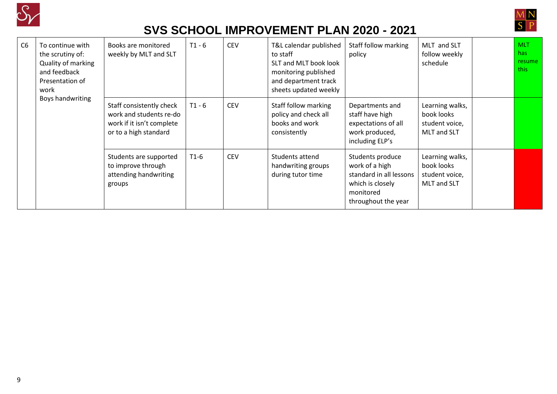



| C <sub>6</sub> | To continue with<br>the scrutiny of:<br>Quality of marking<br>and feedback<br>Presentation of<br>work | Books are monitored<br>weekly by MLT and SLT                                                              | $T1 - 6$ | <b>CEV</b> | T&L calendar published<br>to staff<br>SLT and MLT book look<br>monitoring published<br>and department track<br>sheets updated weekly | Staff follow marking<br>policy                                                                                        | MLT and SLT<br>follow weekly<br>schedule                       | <b>MLT</b><br>has<br>resume<br>this |
|----------------|-------------------------------------------------------------------------------------------------------|-----------------------------------------------------------------------------------------------------------|----------|------------|--------------------------------------------------------------------------------------------------------------------------------------|-----------------------------------------------------------------------------------------------------------------------|----------------------------------------------------------------|-------------------------------------|
|                | Boys handwriting                                                                                      | Staff consistently check<br>work and students re-do<br>work if it isn't complete<br>or to a high standard | $T1 - 6$ | <b>CEV</b> | Staff follow marking<br>policy and check all<br>books and work<br>consistently                                                       | Departments and<br>staff have high<br>expectations of all<br>work produced,<br>including ELP's                        | Learning walks,<br>book looks<br>student voice,<br>MLT and SLT |                                     |
|                |                                                                                                       | Students are supported<br>to improve through<br>attending handwriting<br>groups                           | $T1-6$   | <b>CEV</b> | Students attend<br>handwriting groups<br>during tutor time                                                                           | Students produce<br>work of a high<br>standard in all lessons<br>which is closely<br>monitored<br>throughout the year | Learning walks,<br>book looks<br>student voice,<br>MLT and SLT |                                     |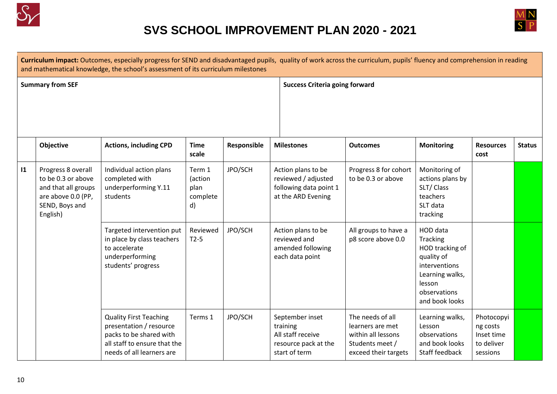



|               | Curriculum impact: Outcomes, especially progress for SEND and disadvantaged pupils, quality of work across the curriculum, pupils' fluency and comprehension in reading<br>and mathematical knowledge, the school's assessment of its curriculum milestones |                                                                                                                                                  |                                             |             |                                                                                           |                                                                                                       |                                                                                                                                       |                                                                |               |  |  |  |  |  |
|---------------|-------------------------------------------------------------------------------------------------------------------------------------------------------------------------------------------------------------------------------------------------------------|--------------------------------------------------------------------------------------------------------------------------------------------------|---------------------------------------------|-------------|-------------------------------------------------------------------------------------------|-------------------------------------------------------------------------------------------------------|---------------------------------------------------------------------------------------------------------------------------------------|----------------------------------------------------------------|---------------|--|--|--|--|--|
|               | <b>Summary from SEF</b>                                                                                                                                                                                                                                     |                                                                                                                                                  |                                             |             |                                                                                           | <b>Success Criteria going forward</b>                                                                 |                                                                                                                                       |                                                                |               |  |  |  |  |  |
|               | Objective                                                                                                                                                                                                                                                   | <b>Actions, including CPD</b>                                                                                                                    | <b>Time</b><br>scale                        | Responsible | <b>Milestones</b>                                                                         | <b>Outcomes</b>                                                                                       | <b>Monitoring</b>                                                                                                                     | <b>Resources</b><br>cost                                       | <b>Status</b> |  |  |  |  |  |
| $\mathbf{11}$ | Progress 8 overall<br>to be 0.3 or above<br>and that all groups<br>are above 0.0 (PP,<br>SEND, Boys and<br>English)                                                                                                                                         | Individual action plans<br>completed with<br>underperforming Y.11<br>students                                                                    | Term 1<br>(action<br>plan<br>complete<br>d) | JPO/SCH     | Action plans to be<br>reviewed / adjusted<br>following data point 1<br>at the ARD Evening | Progress 8 for cohort<br>to be 0.3 or above                                                           | Monitoring of<br>actions plans by<br>SLT/Class<br>teachers<br>SLT data<br>tracking                                                    |                                                                |               |  |  |  |  |  |
|               |                                                                                                                                                                                                                                                             | Targeted intervention put<br>in place by class teachers<br>to accelerate<br>underperforming<br>students' progress                                | Reviewed<br>$T2-5$                          | JPO/SCH     | Action plans to be<br>reviewed and<br>amended following<br>each data point                | All groups to have a<br>p8 score above 0.0                                                            | HOD data<br>Tracking<br>HOD tracking of<br>quality of<br>interventions<br>Learning walks,<br>lesson<br>observations<br>and book looks |                                                                |               |  |  |  |  |  |
|               |                                                                                                                                                                                                                                                             | <b>Quality First Teaching</b><br>presentation / resource<br>packs to be shared with<br>all staff to ensure that the<br>needs of all learners are | Terms 1                                     | JPO/SCH     | September inset<br>training<br>All staff receive<br>resource pack at the<br>start of term | The needs of all<br>learners are met<br>within all lessons<br>Students meet /<br>exceed their targets | Learning walks,<br>Lesson<br>observations<br>and book looks<br>Staff feedback                                                         | Photocopyi<br>ng costs<br>Inset time<br>to deliver<br>sessions |               |  |  |  |  |  |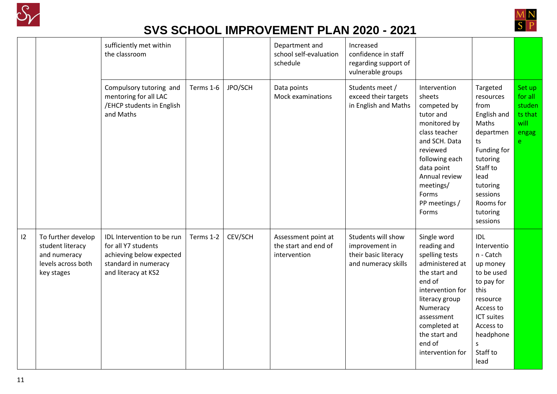



|    |                                                                                            | sufficiently met within<br>the classroom                                                                                     |           |         | Department and<br>school self-evaluation<br>schedule        | Increased<br>confidence in staff<br>regarding support of<br>vulnerable groups       |                                                                                                                                                                                                                           |                                                                                                                                                                                      |                                                              |
|----|--------------------------------------------------------------------------------------------|------------------------------------------------------------------------------------------------------------------------------|-----------|---------|-------------------------------------------------------------|-------------------------------------------------------------------------------------|---------------------------------------------------------------------------------------------------------------------------------------------------------------------------------------------------------------------------|--------------------------------------------------------------------------------------------------------------------------------------------------------------------------------------|--------------------------------------------------------------|
|    |                                                                                            | Compulsory tutoring and<br>mentoring for all LAC<br>/EHCP students in English<br>and Maths                                   | Terms 1-6 | JPO/SCH | Data points<br>Mock examinations                            | Students meet /<br>exceed their targets<br>in English and Maths                     | Intervention<br>sheets<br>competed by<br>tutor and<br>monitored by<br>class teacher<br>and SCH. Data<br>reviewed<br>following each<br>data point<br>Annual review<br>meetings/<br>Forms<br>PP meetings /<br>Forms         | Targeted<br>resources<br>from<br>English and<br>Maths<br>departmen<br>ts<br>Funding for<br>tutoring<br>Staff to<br>lead<br>tutoring<br>sessions<br>Rooms for<br>tutoring<br>sessions | Set up<br>for all<br>studen<br>ts that<br>will<br>engag<br>e |
| 12 | To further develop<br>student literacy<br>and numeracy<br>levels across both<br>key stages | IDL Intervention to be run<br>for all Y7 students<br>achieving below expected<br>standard in numeracy<br>and literacy at KS2 | Terms 1-2 | CEV/SCH | Assessment point at<br>the start and end of<br>intervention | Students will show<br>improvement in<br>their basic literacy<br>and numeracy skills | Single word<br>reading and<br>spelling tests<br>administered at<br>the start and<br>end of<br>intervention for<br>literacy group<br>Numeracy<br>assessment<br>completed at<br>the start and<br>end of<br>intervention for | IDL<br>Interventio<br>n - Catch<br>up money<br>to be used<br>to pay for<br>this<br>resource<br>Access to<br>ICT suites<br>Access to<br>headphone<br>S<br>Staff to<br>lead            |                                                              |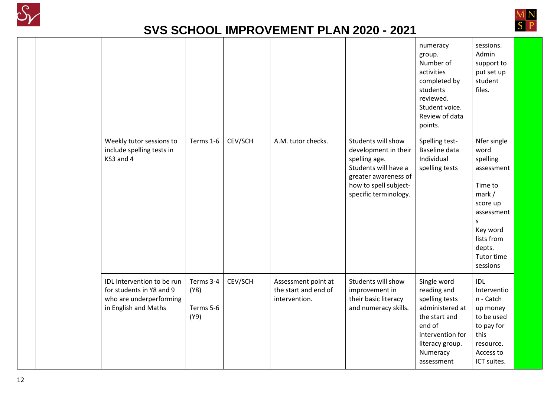



|                                                                                                           |                                        |         |                                                              |                                                                                                                                                               | numeracy<br>group.<br>Number of<br>activities<br>completed by<br>students<br>reviewed.<br>Student voice.<br>Review of data<br>points.                       | sessions.<br>Admin<br>support to<br>put set up<br>student<br>files.                                                                                             |  |
|-----------------------------------------------------------------------------------------------------------|----------------------------------------|---------|--------------------------------------------------------------|---------------------------------------------------------------------------------------------------------------------------------------------------------------|-------------------------------------------------------------------------------------------------------------------------------------------------------------|-----------------------------------------------------------------------------------------------------------------------------------------------------------------|--|
| Weekly tutor sessions to<br>include spelling tests in<br>KS3 and 4                                        | Terms 1-6                              | CEV/SCH | A.M. tutor checks.                                           | Students will show<br>development in their<br>spelling age.<br>Students will have a<br>greater awareness of<br>how to spell subject-<br>specific terminology. | Spelling test-<br><b>Baseline data</b><br>Individual<br>spelling tests                                                                                      | Nfer single<br>word<br>spelling<br>assessment<br>Time to<br>mark /<br>score up<br>assessment<br>S<br>Key word<br>lists from<br>depts.<br>Tutor time<br>sessions |  |
| IDL Intervention to be run<br>for students in Y8 and 9<br>who are underperforming<br>in English and Maths | Terms 3-4<br>(Y8)<br>Terms 5-6<br>(Y9) | CEV/SCH | Assessment point at<br>the start and end of<br>intervention. | Students will show<br>improvement in<br>their basic literacy<br>and numeracy skills.                                                                          | Single word<br>reading and<br>spelling tests<br>administered at<br>the start and<br>end of<br>intervention for<br>literacy group.<br>Numeracy<br>assessment | <b>IDL</b><br>Interventio<br>n - Catch<br>up money<br>to be used<br>to pay for<br>this<br>resource.<br>Access to<br>ICT suites.                                 |  |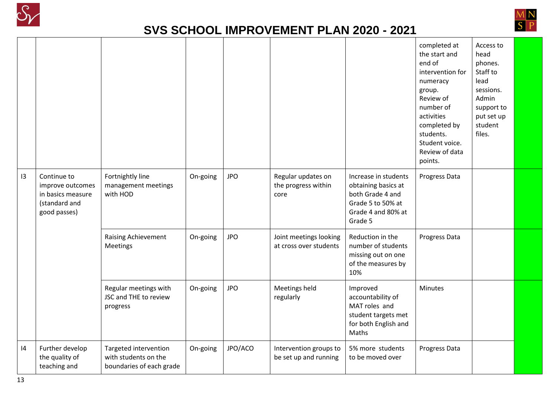



|    |                                                                                       |                                                                           |          |            |                                                   |                                                                                                                       | completed at<br>the start and<br>end of<br>intervention for<br>numeracy<br>group.<br>Review of<br>number of<br>activities<br>completed by<br>students.<br>Student voice.<br>Review of data<br>points. | Access to<br>head<br>phones.<br>Staff to<br>lead<br>sessions.<br>Admin<br>support to<br>put set up<br>student<br>files. |  |
|----|---------------------------------------------------------------------------------------|---------------------------------------------------------------------------|----------|------------|---------------------------------------------------|-----------------------------------------------------------------------------------------------------------------------|-------------------------------------------------------------------------------------------------------------------------------------------------------------------------------------------------------|-------------------------------------------------------------------------------------------------------------------------|--|
| 13 | Continue to<br>improve outcomes<br>in basics measure<br>(standard and<br>good passes) | Fortnightly line<br>management meetings<br>with HOD                       | On-going | <b>JPO</b> | Regular updates on<br>the progress within<br>core | Increase in students<br>obtaining basics at<br>both Grade 4 and<br>Grade 5 to 50% at<br>Grade 4 and 80% at<br>Grade 5 | Progress Data                                                                                                                                                                                         |                                                                                                                         |  |
|    |                                                                                       | Raising Achievement<br>Meetings                                           | On-going | <b>JPO</b> | Joint meetings looking<br>at cross over students  | Reduction in the<br>number of students<br>missing out on one<br>of the measures by<br>10%                             | Progress Data                                                                                                                                                                                         |                                                                                                                         |  |
|    |                                                                                       | Regular meetings with<br>JSC and THE to review<br>progress                | On-going | <b>JPO</b> | Meetings held<br>regularly                        | Improved<br>accountability of<br>MAT roles and<br>student targets met<br>for both English and<br>Maths                | <b>Minutes</b>                                                                                                                                                                                        |                                                                                                                         |  |
| 4  | Further develop<br>the quality of<br>teaching and                                     | Targeted intervention<br>with students on the<br>boundaries of each grade | On-going | JPO/ACO    | Intervention groups to<br>be set up and running   | 5% more students<br>to be moved over                                                                                  | Progress Data                                                                                                                                                                                         |                                                                                                                         |  |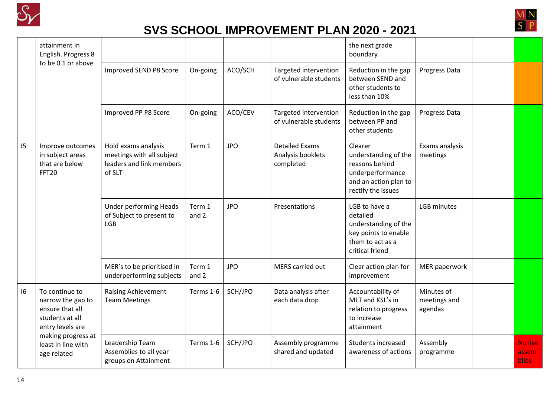



|    | attainment in<br>English. Progress 8<br>to be 0.1 or above                                    |                                                                                        |                 |            |                                                         | the next grade<br>boundary                                                                                           |                                       |                                         |
|----|-----------------------------------------------------------------------------------------------|----------------------------------------------------------------------------------------|-----------------|------------|---------------------------------------------------------|----------------------------------------------------------------------------------------------------------------------|---------------------------------------|-----------------------------------------|
|    |                                                                                               | Improved SEND P8 Score                                                                 | On-going        | ACO/SCH    | Targeted intervention<br>of vulnerable students         | Reduction in the gap<br>between SEND and<br>other students to<br>less than 10%                                       | Progress Data                         |                                         |
|    |                                                                                               | Improved PP P8 Score                                                                   | On-going        | ACO/CEV    | Targeted intervention<br>of vulnerable students         | Reduction in the gap<br>between PP and<br>other students                                                             | Progress Data                         |                                         |
| 15 | Improve outcomes<br>in subject areas<br>that are below<br>FFT20                               | Hold exams analysis<br>meetings with all subject<br>leaders and link members<br>of SLT | Term 1          | <b>JPO</b> | <b>Detailed Exams</b><br>Analysis booklets<br>completed | Clearer<br>understanding of the<br>reasons behind<br>underperformance<br>and an action plan to<br>rectify the issues | Exams analysis<br>meetings            |                                         |
|    |                                                                                               | <b>Under performing Heads</b><br>of Subject to present to<br><b>LGB</b>                | Term 1<br>and 2 | <b>JPO</b> | Presentations                                           | LGB to have a<br>detailed<br>understanding of the<br>key points to enable<br>them to act as a<br>critical friend     | <b>LGB</b> minutes                    |                                         |
|    |                                                                                               | MER's to be prioritised in<br>underperforming subjects                                 | Term 1<br>and 2 | <b>JPO</b> | MERS carried out                                        | Clear action plan for<br>improvement                                                                                 | MER paperwork                         |                                         |
| 16 | To continue to<br>narrow the gap to<br>ensure that all<br>students at all<br>entry levels are | <b>Raising Achievement</b><br><b>Team Meetings</b>                                     | Terms 1-6       | SCH/JPO    | Data analysis after<br>each data drop                   | Accountability of<br>MLT and KSL's in<br>relation to progress<br>to increase<br>attainment                           | Minutes of<br>meetings and<br>agendas |                                         |
|    | making progress at<br>least in line with<br>age related                                       | Leadership Team<br>Assemblies to all year<br>groups on Attainment                      | Terms 1-6       | SCH/JPO    | Assembly programme<br>shared and updated                | Students increased<br>awareness of actions                                                                           | Assembly<br>programme                 | <b>No live</b><br>assem<br><b>blies</b> |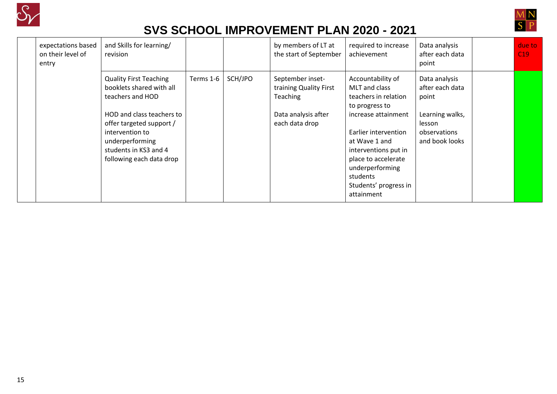



| expectations based<br>on their level of<br>entry | and Skills for learning/<br>revision                                                                                                                                                                                              |           |         | by members of LT at<br>the start of September                                                          | required to increase<br>achievement                                                                                                                                                                                                                               | Data analysis<br>after each data<br>point                                                                | due to<br>C19 |
|--------------------------------------------------|-----------------------------------------------------------------------------------------------------------------------------------------------------------------------------------------------------------------------------------|-----------|---------|--------------------------------------------------------------------------------------------------------|-------------------------------------------------------------------------------------------------------------------------------------------------------------------------------------------------------------------------------------------------------------------|----------------------------------------------------------------------------------------------------------|---------------|
|                                                  | <b>Quality First Teaching</b><br>booklets shared with all<br>teachers and HOD<br>HOD and class teachers to<br>offer targeted support /<br>intervention to<br>underperforming<br>students in KS3 and 4<br>following each data drop | Terms 1-6 | SCH/JPO | September inset-<br>training Quality First<br><b>Teaching</b><br>Data analysis after<br>each data drop | Accountability of<br>MLT and class<br>teachers in relation<br>to progress to<br>increase attainment<br>Earlier intervention<br>at Wave 1 and<br>interventions put in<br>place to accelerate<br>underperforming<br>students<br>Students' progress in<br>attainment | Data analysis<br>after each data<br>point<br>Learning walks,<br>lesson<br>observations<br>and book looks |               |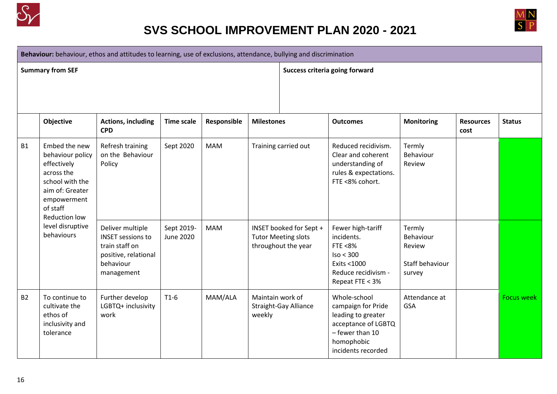



**Behaviour:** behaviour, ethos and attitudes to learning, use of exclusions, attendance, bullying and discrimination

**Summary from SEF Success criteria going forward** 

|           | Objective                                                                                                                                               | <b>Actions, including</b><br><b>CPD</b>                                                                           | <b>Time scale</b>              | Responsible | <b>Milestones</b>                                                            | <b>Outcomes</b>                                                                                                                        | <b>Monitoring</b>                                          | <b>Resources</b><br>cost | <b>Status</b>     |
|-----------|---------------------------------------------------------------------------------------------------------------------------------------------------------|-------------------------------------------------------------------------------------------------------------------|--------------------------------|-------------|------------------------------------------------------------------------------|----------------------------------------------------------------------------------------------------------------------------------------|------------------------------------------------------------|--------------------------|-------------------|
| <b>B1</b> | Embed the new<br>behaviour policy<br>effectively<br>across the<br>school with the<br>aim of: Greater<br>empowerment<br>of staff<br><b>Reduction low</b> | Refresh training<br>on the Behaviour<br>Policy                                                                    | Sept 2020                      | <b>MAM</b>  | Training carried out                                                         | Reduced recidivism.<br>Clear and coherent<br>understanding of<br>rules & expectations.<br>FTE <8% cohort.                              | Termly<br>Behaviour<br>Review                              |                          |                   |
|           | level disruptive<br>behaviours                                                                                                                          | Deliver multiple<br><b>INSET sessions to</b><br>train staff on<br>positive, relational<br>behaviour<br>management | Sept 2019-<br><b>June 2020</b> | <b>MAM</b>  | INSET booked for Sept +<br><b>Tutor Meeting slots</b><br>throughout the year | Fewer high-tariff<br>incidents.<br>FTE $<8\%$<br>Iso < 300<br>Exits <1000<br>Reduce recidivism -<br>Repeat FTE < 3%                    | Termly<br>Behaviour<br>Review<br>Staff behaviour<br>survey |                          |                   |
| <b>B2</b> | To continue to<br>cultivate the<br>ethos of<br>inclusivity and<br>tolerance                                                                             | Further develop<br>LGBTQ+ inclusivity<br>work                                                                     | $T1-6$                         | MAM/ALA     | Maintain work of<br><b>Straight-Gay Alliance</b><br>weekly                   | Whole-school<br>campaign for Pride<br>leading to greater<br>acceptance of LGBTQ<br>- fewer than 10<br>homophobic<br>incidents recorded | Attendance at<br><b>GSA</b>                                |                          | <b>Focus week</b> |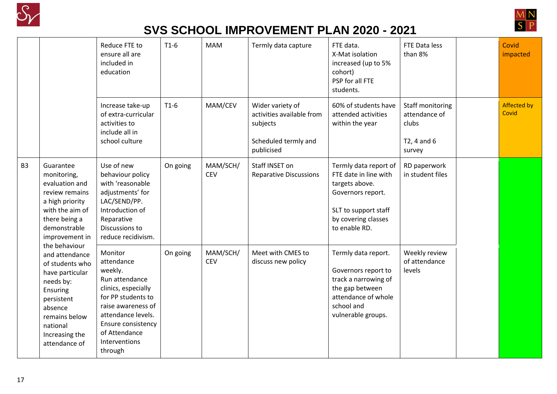



|                |                                                                                                                                                                                         | Reduce FTE to<br>ensure all are<br>included in<br>education                                                                                                                                                    | $T1-6$   | <b>MAM</b>             | Termly data capture                                                                             | FTE data.<br>X-Mat isolation<br>increased (up to 5%<br>cohort)<br>PSP for all FTE<br>students.                                                        | FTE Data less<br>than 8%                                                | Covid<br>impacted    |
|----------------|-----------------------------------------------------------------------------------------------------------------------------------------------------------------------------------------|----------------------------------------------------------------------------------------------------------------------------------------------------------------------------------------------------------------|----------|------------------------|-------------------------------------------------------------------------------------------------|-------------------------------------------------------------------------------------------------------------------------------------------------------|-------------------------------------------------------------------------|----------------------|
|                |                                                                                                                                                                                         | Increase take-up<br>of extra-curricular<br>activities to<br>include all in<br>school culture                                                                                                                   | $T1-6$   | MAM/CEV                | Wider variety of<br>activities available from<br>subjects<br>Scheduled termly and<br>publicised | 60% of students have<br>attended activities<br>within the year                                                                                        | Staff monitoring<br>attendance of<br>clubs<br>$T2, 4$ and $6$<br>survey | Affected by<br>Covid |
| B <sub>3</sub> | Guarantee<br>monitoring,<br>evaluation and<br>review remains<br>a high priority<br>with the aim of<br>there being a<br>demonstrable<br>improvement in                                   | Use of new<br>behaviour policy<br>with 'reasonable<br>adjustments' for<br>LAC/SEND/PP.<br>Introduction of<br>Reparative<br>Discussions to<br>reduce recidivism.                                                | On going | MAM/SCH/<br><b>CEV</b> | Staff INSET on<br><b>Reparative Discussions</b>                                                 | Termly data report of<br>FTE date in line with<br>targets above.<br>Governors report.<br>SLT to support staff<br>by covering classes<br>to enable RD. | RD paperwork<br>in student files                                        |                      |
|                | the behaviour<br>and attendance<br>of students who<br>have particular<br>needs by:<br>Ensuring<br>persistent<br>absence<br>remains below<br>national<br>Increasing the<br>attendance of | Monitor<br>attendance<br>weekly.<br>Run attendance<br>clinics, especially<br>for PP students to<br>raise awareness of<br>attendance levels.<br>Ensure consistency<br>of Attendance<br>Interventions<br>through | On going | MAM/SCH/<br><b>CEV</b> | Meet with CMES to<br>discuss new policy                                                         | Termly data report.<br>Governors report to<br>track a narrowing of<br>the gap between<br>attendance of whole<br>school and<br>vulnerable groups.      | Weekly review<br>of attendance<br>levels                                |                      |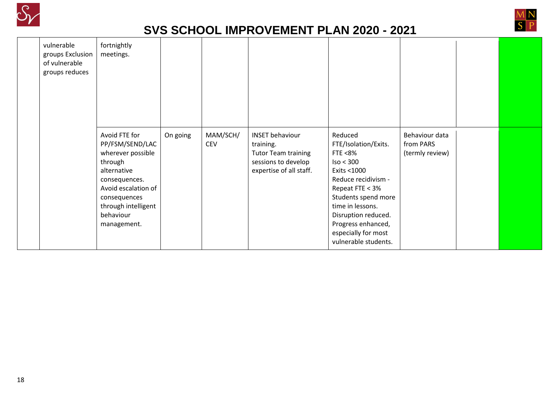



| vulnerable<br>groups Exclusion<br>of vulnerable<br>groups reduces | fortnightly<br>meetings.                                                                                                                                                                   |          |                        |                                                                                                                     |                                                                                                                                                                                                                                                            |                                                |  |
|-------------------------------------------------------------------|--------------------------------------------------------------------------------------------------------------------------------------------------------------------------------------------|----------|------------------------|---------------------------------------------------------------------------------------------------------------------|------------------------------------------------------------------------------------------------------------------------------------------------------------------------------------------------------------------------------------------------------------|------------------------------------------------|--|
|                                                                   | Avoid FTE for<br>PP/FSM/SEND/LAC<br>wherever possible<br>through<br>alternative<br>consequences.<br>Avoid escalation of<br>consequences<br>through intelligent<br>behaviour<br>management. | On going | MAM/SCH/<br><b>CEV</b> | <b>INSET behaviour</b><br>training.<br><b>Tutor Team training</b><br>sessions to develop<br>expertise of all staff. | Reduced<br>FTE/Isolation/Exits.<br>FTE $<8\%$<br>Iso < 300<br>Exits <1000<br>Reduce recidivism -<br>Repeat FTE < 3%<br>Students spend more<br>time in lessons.<br>Disruption reduced.<br>Progress enhanced,<br>especially for most<br>vulnerable students. | Behaviour data<br>from PARS<br>(termly review) |  |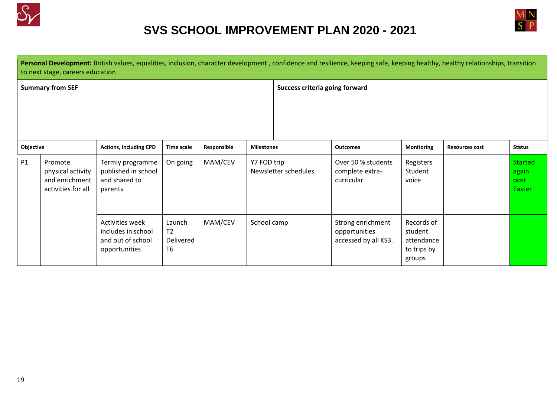



|                                  | Personal Development: British values, equalities, inclusion, character development, confidence and resilience, keeping safe, keeping healthy, healthy relationships, transition |
|----------------------------------|---------------------------------------------------------------------------------------------------------------------------------------------------------------------------------|
| to next stage, careers education |                                                                                                                                                                                 |
|                                  |                                                                                                                                                                                 |

| <b>Summary from SEF</b> |                                                                      |                                                                                                                                                   |                   |             |                   | Success criteria going forward                             |                                                              |                               |                       |                                           |
|-------------------------|----------------------------------------------------------------------|---------------------------------------------------------------------------------------------------------------------------------------------------|-------------------|-------------|-------------------|------------------------------------------------------------|--------------------------------------------------------------|-------------------------------|-----------------------|-------------------------------------------|
| Objective               |                                                                      | <b>Actions, including CPD</b>                                                                                                                     | <b>Time scale</b> | Responsible | <b>Milestones</b> |                                                            | <b>Outcomes</b>                                              | <b>Monitoring</b>             | <b>Resources cost</b> | <b>Status</b>                             |
| P1                      | Promote<br>physical activity<br>and enrichment<br>activities for all | Termly programme<br>published in school<br>and shared to<br>parents                                                                               | On going          | MAM/CEV     | Y7 FOD trip       | Newsletter schedules                                       | Over 50 % students<br>complete extra-<br>curricular          | Registers<br>Student<br>voice |                       | <b>Started</b><br>again<br>post<br>Easter |
|                         |                                                                      | MAM/CEV<br>Activities week<br>Launch<br>T <sub>2</sub><br>includes in school<br>and out of school<br>Delivered<br>T <sub>6</sub><br>opportunities |                   | School camp |                   | Strong enrichment<br>opportunities<br>accessed by all KS3. | Records of<br>student<br>attendance<br>to trips by<br>groups |                               |                       |                                           |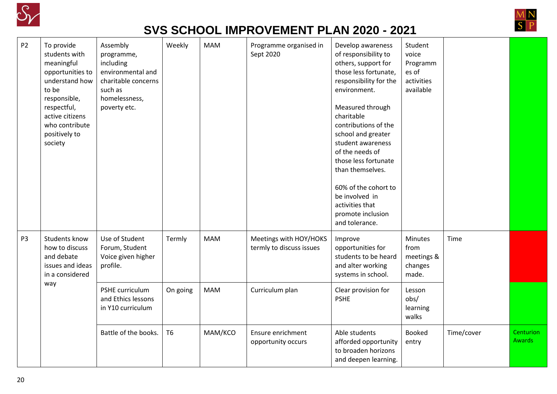



| <b>P2</b>      | To provide<br>students with<br>meaningful<br>opportunities to<br>understand how<br>to be<br>responsible,<br>respectful,<br>active citizens<br>who contribute<br>positively to<br>society | Assembly<br>programme,<br>including<br>environmental and<br>charitable concerns<br>such as<br>homelessness,<br>poverty etc. | Weekly         | <b>MAM</b> | Programme organised in<br>Sept 2020                | Develop awareness<br>of responsibility to<br>others, support for<br>those less fortunate,<br>responsibility for the<br>environment.<br>Measured through<br>charitable<br>contributions of the<br>school and greater<br>student awareness<br>of the needs of<br>those less fortunate<br>than themselves.<br>60% of the cohort to<br>be involved in<br>activities that<br>promote inclusion<br>and tolerance. | Student<br>voice<br>Programm<br>es of<br>activities<br>available |            |                            |
|----------------|------------------------------------------------------------------------------------------------------------------------------------------------------------------------------------------|-----------------------------------------------------------------------------------------------------------------------------|----------------|------------|----------------------------------------------------|-------------------------------------------------------------------------------------------------------------------------------------------------------------------------------------------------------------------------------------------------------------------------------------------------------------------------------------------------------------------------------------------------------------|------------------------------------------------------------------|------------|----------------------------|
| P <sub>3</sub> | Students know<br>how to discuss<br>and debate<br>issues and ideas<br>in a considered                                                                                                     | Use of Student<br>Forum, Student<br>Voice given higher<br>profile.                                                          | Termly         | <b>MAM</b> | Meetings with HOY/HOKS<br>termly to discuss issues | Improve<br>opportunities for<br>students to be heard<br>and alter working<br>systems in school.                                                                                                                                                                                                                                                                                                             | <b>Minutes</b><br>from<br>meetings &<br>changes<br>made.         | Time       |                            |
|                | way                                                                                                                                                                                      | PSHE curriculum<br>and Ethics lessons<br>in Y10 curriculum                                                                  | On going       | <b>MAM</b> | Curriculum plan                                    | Clear provision for<br><b>PSHE</b>                                                                                                                                                                                                                                                                                                                                                                          | Lesson<br>obs/<br>learning<br>walks                              |            |                            |
|                |                                                                                                                                                                                          | Battle of the books.                                                                                                        | T <sub>6</sub> | MAM/KCO    | Ensure enrichment<br>opportunity occurs            | Able students<br>afforded opportunity<br>to broaden horizons<br>and deepen learning.                                                                                                                                                                                                                                                                                                                        | <b>Booked</b><br>entry                                           | Time/cover | Centurion<br><b>Awards</b> |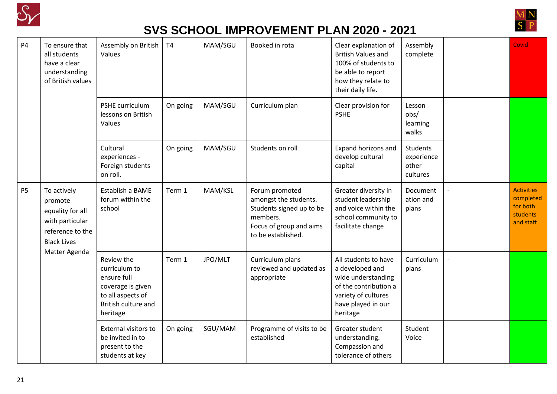



| <b>P4</b>      | To ensure that<br>all students<br>have a clear<br>understanding<br>of British values                    | Assembly on British<br>Values                                                                                           | <b>T4</b> | MAM/SGU | Booked in rota                                                                                                                   | Clear explanation of<br><b>British Values and</b><br>100% of students to<br>be able to report<br>how they relate to<br>their daily life.        | Assembly<br>complete                               | Covid                                                                      |
|----------------|---------------------------------------------------------------------------------------------------------|-------------------------------------------------------------------------------------------------------------------------|-----------|---------|----------------------------------------------------------------------------------------------------------------------------------|-------------------------------------------------------------------------------------------------------------------------------------------------|----------------------------------------------------|----------------------------------------------------------------------------|
|                |                                                                                                         | PSHE curriculum<br>lessons on British<br>Values                                                                         | On going  | MAM/SGU | Curriculum plan                                                                                                                  | Clear provision for<br><b>PSHE</b>                                                                                                              | Lesson<br>obs/<br>learning<br>walks                |                                                                            |
|                |                                                                                                         | Cultural<br>experiences -<br>Foreign students<br>on roll.                                                               | On going  | MAM/SGU | Students on roll                                                                                                                 | Expand horizons and<br>develop cultural<br>capital                                                                                              | <b>Students</b><br>experience<br>other<br>cultures |                                                                            |
| P <sub>5</sub> | To actively<br>promote<br>equality for all<br>with particular<br>reference to the<br><b>Black Lives</b> | Establish a BAME<br>forum within the<br>school                                                                          | Term 1    | MAM/KSL | Forum promoted<br>amongst the students.<br>Students signed up to be<br>members.<br>Focus of group and aims<br>to be established. | Greater diversity in<br>student leadership<br>and voice within the<br>school community to<br>facilitate change                                  | Document<br>ation and<br>plans                     | <b>Activities</b><br>completed<br>for both<br><b>students</b><br>and staff |
|                | Matter Agenda                                                                                           | Review the<br>curriculum to<br>ensure full<br>coverage is given<br>to all aspects of<br>British culture and<br>heritage | Term 1    | JPO/MLT | Curriculum plans<br>reviewed and updated as<br>appropriate                                                                       | All students to have<br>a developed and<br>wide understanding<br>of the contribution a<br>variety of cultures<br>have played in our<br>heritage | Curriculum<br>plans                                |                                                                            |
|                |                                                                                                         | <b>External visitors to</b><br>be invited in to<br>present to the<br>students at key                                    | On going  | SGU/MAM | Programme of visits to be<br>established                                                                                         | Greater student<br>understanding.<br>Compassion and<br>tolerance of others                                                                      | Student<br>Voice                                   |                                                                            |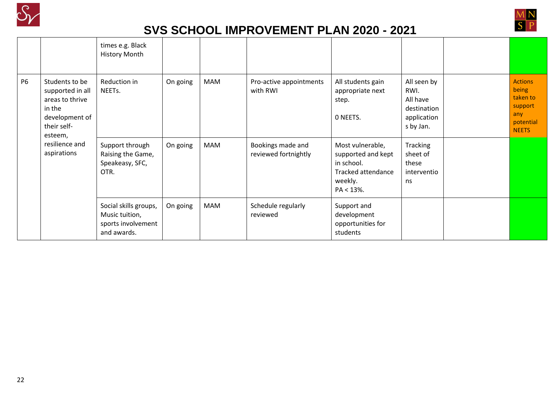



|                |                                                                                                             | times e.g. Black<br><b>History Month</b>                                     |          |     |                                           |                                                                                                               |                                                                            |                                                                                    |
|----------------|-------------------------------------------------------------------------------------------------------------|------------------------------------------------------------------------------|----------|-----|-------------------------------------------|---------------------------------------------------------------------------------------------------------------|----------------------------------------------------------------------------|------------------------------------------------------------------------------------|
| P <sub>6</sub> | Students to be<br>supported in all<br>areas to thrive<br>in the<br>development of<br>their self-<br>esteem, | Reduction in<br>NEETs.                                                       | On going | MAM | Pro-active appointments<br>with RWI       | All students gain<br>appropriate next<br>step.<br>O NEETS.                                                    | All seen by<br>RWI.<br>All have<br>destination<br>application<br>s by Jan. | <b>Actions</b><br>being<br>taken to<br>support<br>any<br>potential<br><b>NEETS</b> |
|                | resilience and<br>aspirations                                                                               | Support through<br>Raising the Game,<br>Speakeasy, SFC,<br>OTR.              | On going | MAM | Bookings made and<br>reviewed fortnightly | Most vulnerable,<br>supported and kept<br>in school.<br><b>Tracked attendance</b><br>weekly.<br>$PA < 13\%$ . | Tracking<br>sheet of<br>these<br>interventio<br>ns                         |                                                                                    |
|                |                                                                                                             | Social skills groups,<br>Music tuition,<br>sports involvement<br>and awards. | On going | MAM | Schedule regularly<br>reviewed            | Support and<br>development<br>opportunities for<br>students                                                   |                                                                            |                                                                                    |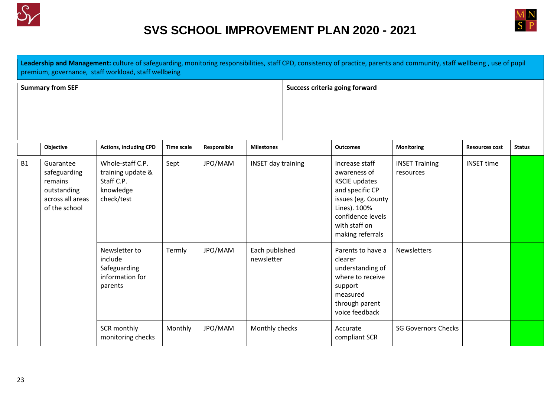



|           |                                                                                          | premium, governance, staff workload, staff wellbeing                           |                   |             |                              |  |                                                                                                                                                                           | Leadership and Management: culture of safeguarding, monitoring responsibilities, staff CPD, consistency of practice, parents and community, staff wellbeing, use of pupil |                       |               |
|-----------|------------------------------------------------------------------------------------------|--------------------------------------------------------------------------------|-------------------|-------------|------------------------------|--|---------------------------------------------------------------------------------------------------------------------------------------------------------------------------|---------------------------------------------------------------------------------------------------------------------------------------------------------------------------|-----------------------|---------------|
|           | <b>Summary from SEF</b>                                                                  |                                                                                |                   |             |                              |  | <b>Success criteria going forward</b>                                                                                                                                     |                                                                                                                                                                           |                       |               |
|           | Objective                                                                                | <b>Actions, including CPD</b>                                                  | <b>Time scale</b> | Responsible | <b>Milestones</b>            |  | <b>Outcomes</b>                                                                                                                                                           | Monitoring                                                                                                                                                                | <b>Resources cost</b> | <b>Status</b> |
| <b>B1</b> | Guarantee<br>safeguarding<br>remains<br>outstanding<br>across all areas<br>of the school | Whole-staff C.P.<br>training update &<br>Staff C.P.<br>knowledge<br>check/test | Sept              | JPO/MAM     | <b>INSET day training</b>    |  | Increase staff<br>awareness of<br><b>KSCIE updates</b><br>and specific CP<br>issues (eg. County<br>Lines). 100%<br>confidence levels<br>with staff on<br>making referrals | <b>INSET Training</b><br>resources                                                                                                                                        | <b>INSET time</b>     |               |
|           |                                                                                          | Newsletter to<br>include<br>Safeguarding<br>information for<br>parents         | Termly            | JPO/MAM     | Each published<br>newsletter |  | Parents to have a<br>clearer<br>understanding of<br>where to receive<br>support<br>measured<br>through parent<br>voice feedback                                           | Newsletters                                                                                                                                                               |                       |               |
|           |                                                                                          | SCR monthly<br>monitoring checks                                               | Monthly           | JPO/MAM     | Monthly checks               |  | Accurate<br>compliant SCR                                                                                                                                                 | <b>SG Governors Checks</b>                                                                                                                                                |                       |               |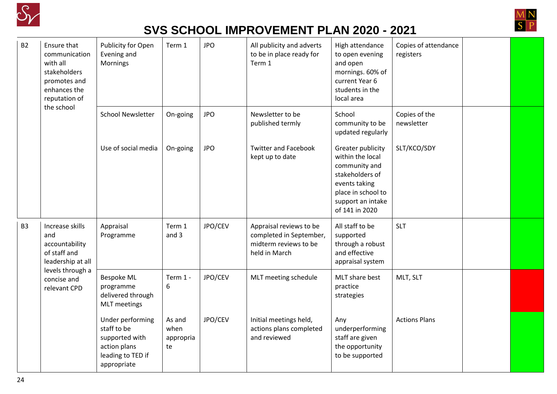



| <b>B2</b>      | Ensure that<br>communication<br>with all<br>stakeholders<br>promotes and<br>enhances the<br>reputation of | Publicity for Open<br>Evening and<br>Mornings                                                         | Term 1                            | <b>JPO</b> | All publicity and adverts<br>to be in place ready for<br>Term 1                              | High attendance<br>to open evening<br>and open<br>mornings. 60% of<br>current Year 6<br>students in the<br>local area                                   | Copies of attendance<br>registers |  |
|----------------|-----------------------------------------------------------------------------------------------------------|-------------------------------------------------------------------------------------------------------|-----------------------------------|------------|----------------------------------------------------------------------------------------------|---------------------------------------------------------------------------------------------------------------------------------------------------------|-----------------------------------|--|
|                | the school                                                                                                | <b>School Newsletter</b>                                                                              | On-going                          | <b>JPO</b> | Newsletter to be<br>published termly                                                         | School<br>community to be<br>updated regularly                                                                                                          | Copies of the<br>newsletter       |  |
|                |                                                                                                           | Use of social media                                                                                   | On-going                          | <b>JPO</b> | <b>Twitter and Facebook</b><br>kept up to date                                               | Greater publicity<br>within the local<br>community and<br>stakeholders of<br>events taking<br>place in school to<br>support an intake<br>of 141 in 2020 | SLT/KCO/SDY                       |  |
| B <sub>3</sub> | Increase skills<br>and<br>accountability<br>of staff and<br>leadership at all                             | Appraisal<br>Programme                                                                                | Term 1<br>and 3                   | JPO/CEV    | Appraisal reviews to be<br>completed in September,<br>midterm reviews to be<br>held in March | All staff to be<br>supported<br>through a robust<br>and effective<br>appraisal system                                                                   | <b>SLT</b>                        |  |
|                | levels through a<br>concise and<br>relevant CPD                                                           | <b>Bespoke ML</b><br>programme<br>delivered through<br><b>MLT</b> meetings                            | Term 1 -<br>6                     | JPO/CEV    | MLT meeting schedule                                                                         | MLT share best<br>practice<br>strategies                                                                                                                | MLT, SLT                          |  |
|                |                                                                                                           | Under performing<br>staff to be<br>supported with<br>action plans<br>leading to TED if<br>appropriate | As and<br>when<br>appropria<br>te | JPO/CEV    | Initial meetings held,<br>actions plans completed<br>and reviewed                            | Any<br>underperforming<br>staff are given<br>the opportunity<br>to be supported                                                                         | <b>Actions Plans</b>              |  |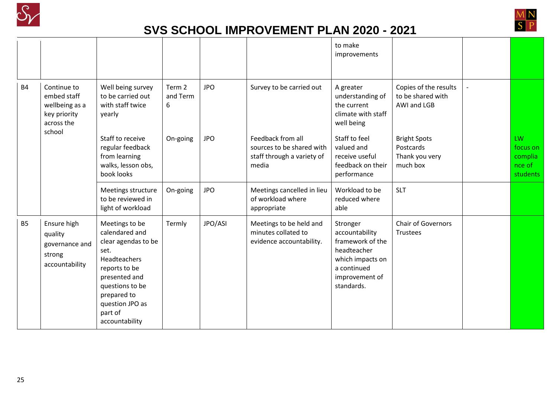



|           |                                                                                      |                                                                                                                                                                                                     |                         |            |                                                                                       | to make<br>improvements                                                                                                          |                                                                |                                                        |
|-----------|--------------------------------------------------------------------------------------|-----------------------------------------------------------------------------------------------------------------------------------------------------------------------------------------------------|-------------------------|------------|---------------------------------------------------------------------------------------|----------------------------------------------------------------------------------------------------------------------------------|----------------------------------------------------------------|--------------------------------------------------------|
| <b>B4</b> | Continue to<br>embed staff<br>wellbeing as a<br>key priority<br>across the<br>school | Well being survey<br>to be carried out<br>with staff twice<br>yearly                                                                                                                                | Term 2<br>and Term<br>6 | <b>JPO</b> | Survey to be carried out                                                              | A greater<br>understanding of<br>the current<br>climate with staff<br>well being                                                 | Copies of the results<br>to be shared with<br>AWI and LGB      |                                                        |
|           |                                                                                      | Staff to receive<br>regular feedback<br>from learning<br>walks, lesson obs,<br>book looks                                                                                                           | On-going                | <b>JPO</b> | Feedback from all<br>sources to be shared with<br>staff through a variety of<br>media | Staff to feel<br>valued and<br>receive useful<br>feedback on their<br>performance                                                | <b>Bright Spots</b><br>Postcards<br>Thank you very<br>much box | <b>LW</b><br>focus on<br>complia<br>nce of<br>students |
|           |                                                                                      | Meetings structure<br>to be reviewed in<br>light of workload                                                                                                                                        | On-going                | <b>JPO</b> | Meetings cancelled in lieu<br>of workload where<br>appropriate                        | Workload to be<br>reduced where<br>able                                                                                          | <b>SLT</b>                                                     |                                                        |
| <b>B5</b> | Ensure high<br>quality<br>governance and<br>strong<br>accountability                 | Meetings to be<br>calendared and<br>clear agendas to be<br>set.<br>Headteachers<br>reports to be<br>presented and<br>questions to be<br>prepared to<br>question JPO as<br>part of<br>accountability | Termly                  | JPO/ASI    | Meetings to be held and<br>minutes collated to<br>evidence accountability.            | Stronger<br>accountability<br>framework of the<br>headteacher<br>which impacts on<br>a continued<br>improvement of<br>standards. | <b>Chair of Governors</b><br>Trustees                          |                                                        |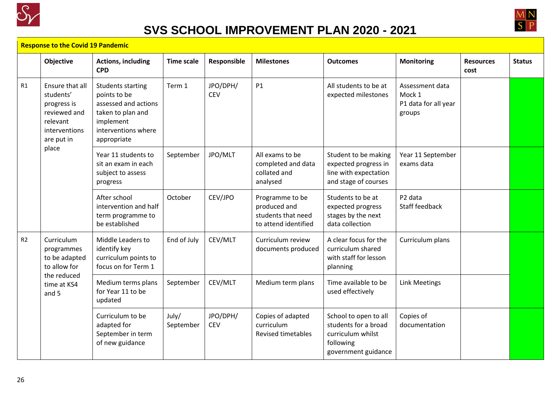



#### **Response to the Covid 19 Pandemic**

|    | Objective                                                                                                       | <b>Actions, including</b><br><b>CPD</b>                                                                                                  | <b>Time scale</b>  | Responsible            | <b>Milestones</b>                                                             | <b>Outcomes</b>                                                                                        | <b>Monitoring</b>                                           | <b>Resources</b><br>cost | <b>Status</b> |
|----|-----------------------------------------------------------------------------------------------------------------|------------------------------------------------------------------------------------------------------------------------------------------|--------------------|------------------------|-------------------------------------------------------------------------------|--------------------------------------------------------------------------------------------------------|-------------------------------------------------------------|--------------------------|---------------|
| R1 | Ensure that all<br>students'<br>progress is<br>reviewed and<br>relevant<br>interventions<br>are put in<br>place | <b>Students starting</b><br>points to be<br>assessed and actions<br>taken to plan and<br>implement<br>interventions where<br>appropriate | Term 1             | JPO/DPH/<br><b>CEV</b> | <b>P1</b>                                                                     | All students to be at<br>expected milestones                                                           | Assessment data<br>Mock 1<br>P1 data for all year<br>groups |                          |               |
|    |                                                                                                                 | Year 11 students to<br>sit an exam in each<br>subject to assess<br>progress                                                              | September          | JPO/MLT                | All exams to be<br>completed and data<br>collated and<br>analysed             | Student to be making<br>expected progress in<br>line with expectation<br>and stage of courses          | Year 11 September<br>exams data                             |                          |               |
|    |                                                                                                                 | After school<br>intervention and half<br>term programme to<br>be established                                                             | October            | CEV/JPO                | Programme to be<br>produced and<br>students that need<br>to attend identified | Students to be at<br>expected progress<br>stages by the next<br>data collection                        | P <sub>2</sub> data<br><b>Staff feedback</b>                |                          |               |
| R2 | Curriculum<br>programmes<br>to be adapted<br>to allow for<br>the reduced<br>time at KS4<br>and 5                | Middle Leaders to<br>identify key<br>curriculum points to<br>focus on for Term 1                                                         | End of July        | CEV/MLT                | Curriculum review<br>documents produced                                       | A clear focus for the<br>curriculum shared<br>with staff for lesson<br>planning                        | Curriculum plans                                            |                          |               |
|    |                                                                                                                 | Medium terms plans<br>for Year 11 to be<br>updated                                                                                       | September          | CEV/MLT                | Medium term plans                                                             | Time available to be<br>used effectively                                                               | <b>Link Meetings</b>                                        |                          |               |
|    |                                                                                                                 | Curriculum to be<br>adapted for<br>September in term<br>of new guidance                                                                  | July/<br>September | JPO/DPH/<br><b>CEV</b> | Copies of adapted<br>curriculum<br><b>Revised timetables</b>                  | School to open to all<br>students for a broad<br>curriculum whilst<br>following<br>government guidance | Copies of<br>documentation                                  |                          |               |